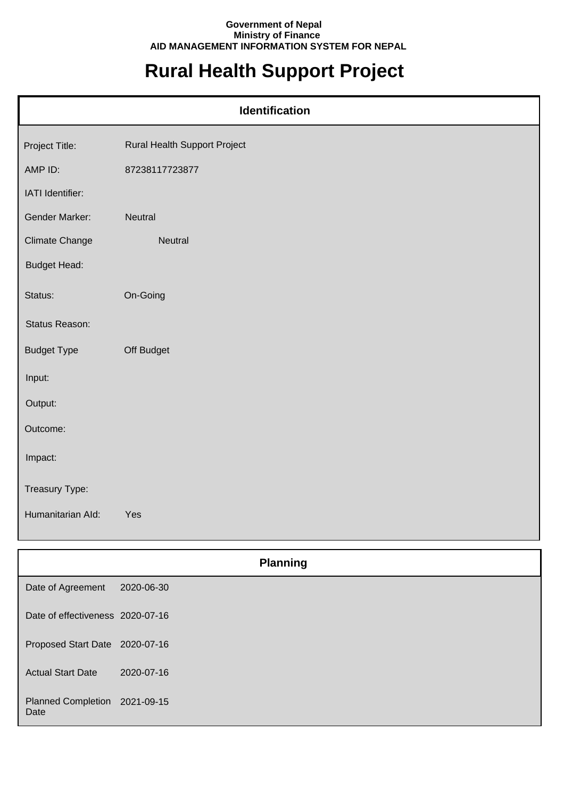## **Government of Nepal Ministry of Finance AID MANAGEMENT INFORMATION SYSTEM FOR NEPAL**

## **Rural Health Support Project**

| Identification        |                              |  |
|-----------------------|------------------------------|--|
| Project Title:        | Rural Health Support Project |  |
| AMP ID:               | 87238117723877               |  |
| IATI Identifier:      |                              |  |
| Gender Marker:        | Neutral                      |  |
| <b>Climate Change</b> | Neutral                      |  |
| <b>Budget Head:</b>   |                              |  |
| Status:               | On-Going                     |  |
| Status Reason:        |                              |  |
| <b>Budget Type</b>    | Off Budget                   |  |
| Input:                |                              |  |
| Output:               |                              |  |
| Outcome:              |                              |  |
| Impact:               |                              |  |
| Treasury Type:        |                              |  |
| Humanitarian Ald:     | Yes                          |  |

|                                       | <b>Planning</b> |  |
|---------------------------------------|-----------------|--|
| Date of Agreement                     | 2020-06-30      |  |
| Date of effectiveness 2020-07-16      |                 |  |
| Proposed Start Date 2020-07-16        |                 |  |
| <b>Actual Start Date</b>              | 2020-07-16      |  |
| Planned Completion 2021-09-15<br>Date |                 |  |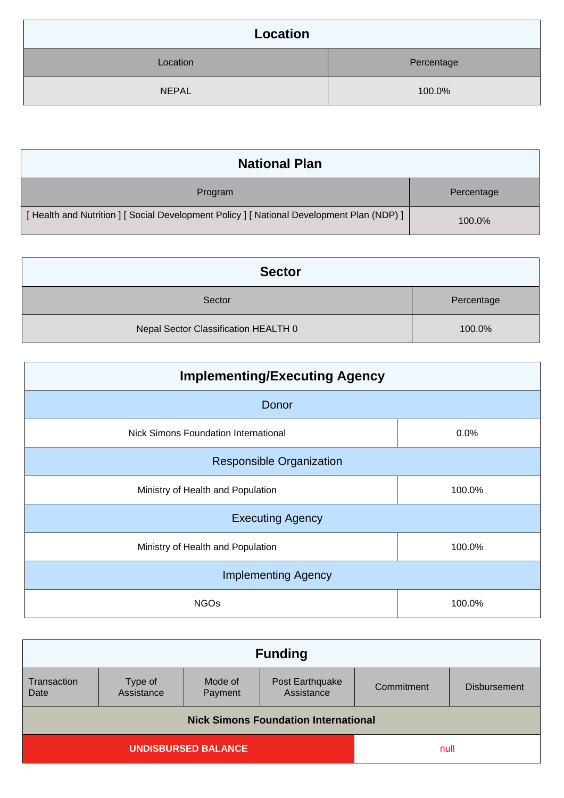| Location     |            |
|--------------|------------|
| Location     | Percentage |
| <b>NEPAL</b> | 100.0%     |

| <b>National Plan</b>                                                                    |            |
|-----------------------------------------------------------------------------------------|------------|
| Program                                                                                 | Percentage |
| [Health and Nutrition ] [Social Development Policy ] [National Development Plan (NDP) ] | 100.0%     |

| <b>Sector</b>                        |            |
|--------------------------------------|------------|
| Sector                               | Percentage |
| Nepal Sector Classification HEALTH 0 | 100.0%     |

| <b>Implementing/Executing Agency</b>        |        |  |
|---------------------------------------------|--------|--|
| Donor                                       |        |  |
| <b>Nick Simons Foundation International</b> | 0.0%   |  |
| <b>Responsible Organization</b>             |        |  |
| Ministry of Health and Population           | 100.0% |  |
| <b>Executing Agency</b>                     |        |  |
| Ministry of Health and Population           | 100.0% |  |
| <b>Implementing Agency</b>                  |        |  |
| <b>NGOs</b>                                 | 100.0% |  |

| <b>Funding</b>                              |                       |                    |                               |            |                     |
|---------------------------------------------|-----------------------|--------------------|-------------------------------|------------|---------------------|
| Transaction<br>Date                         | Type of<br>Assistance | Mode of<br>Payment | Post Earthquake<br>Assistance | Commitment | <b>Disbursement</b> |
| <b>Nick Simons Foundation International</b> |                       |                    |                               |            |                     |
| <b>UNDISBURSED BALANCE</b><br>null          |                       |                    |                               |            |                     |
|                                             |                       |                    |                               |            |                     |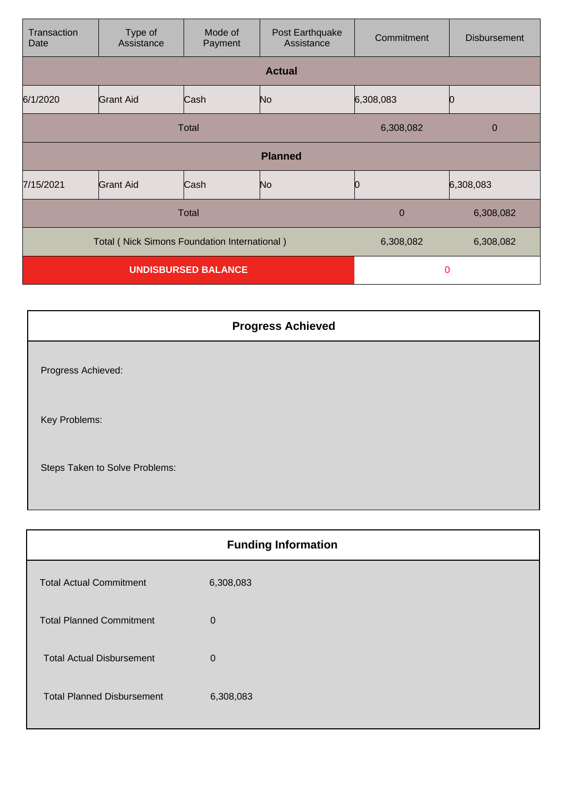| Transaction<br>Date                                 | Type of<br>Assistance | Mode of<br>Payment | Post Earthquake<br>Assistance | Commitment | <b>Disbursement</b> |
|-----------------------------------------------------|-----------------------|--------------------|-------------------------------|------------|---------------------|
|                                                     |                       |                    | <b>Actual</b>                 |            |                     |
| 6/1/2020                                            | <b>Grant Aid</b>      | Cash               | No                            | 6,308,083  |                     |
| <b>Total</b>                                        |                       |                    | 6,308,082                     | 0          |                     |
| <b>Planned</b>                                      |                       |                    |                               |            |                     |
| 7/15/2021                                           | <b>Grant Aid</b>      | Cash               | No                            |            | 6,308,083           |
| Total                                               |                       |                    | $\overline{0}$                | 6,308,082  |                     |
| <b>Total (Nick Simons Foundation International)</b> |                       |                    | 6,308,082                     | 6,308,082  |                     |
| <b>UNDISBURSED BALANCE</b>                          |                       |                    | $\Omega$                      |            |                     |

| <b>Progress Achieved</b>       |
|--------------------------------|
| Progress Achieved:             |
| Key Problems:                  |
| Steps Taken to Solve Problems: |

| <b>Funding Information</b> |
|----------------------------|
| 6,308,083                  |
| $\mathbf 0$                |
| $\Omega$                   |
| 6,308,083                  |
|                            |